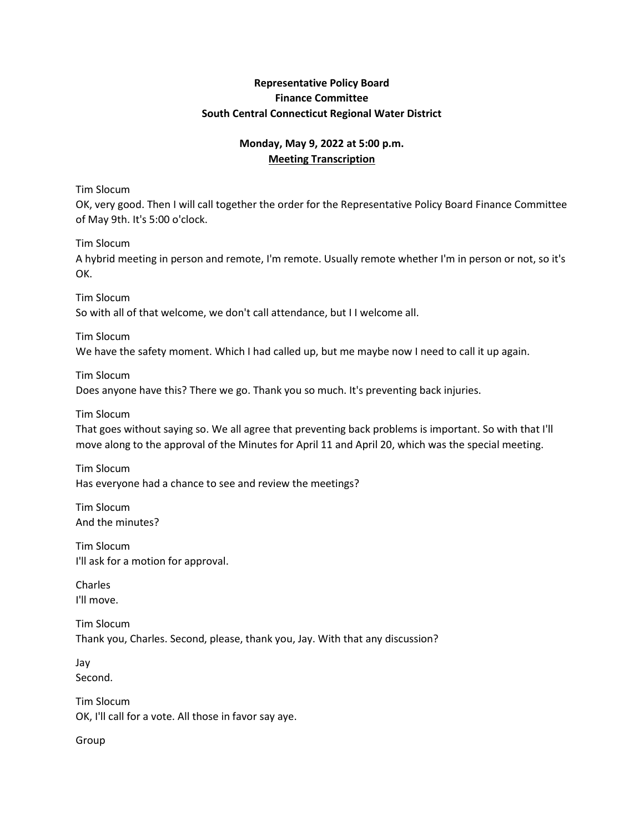## **Representative Policy Board Finance Committee South Central Connecticut Regional Water District**

# **Monday, May 9, 2022 at 5:00 p.m. Meeting Transcription**

Tim Slocum

OK, very good. Then I will call together the order for the Representative Policy Board Finance Committee of May 9th. It's 5:00 o'clock.

Tim Slocum

A hybrid meeting in person and remote, I'm remote. Usually remote whether I'm in person or not, so it's OK.

Tim Slocum So with all of that welcome, we don't call attendance, but I I welcome all.

Tim Slocum We have the safety moment. Which I had called up, but me maybe now I need to call it up again.

Tim Slocum Does anyone have this? There we go. Thank you so much. It's preventing back injuries.

Tim Slocum

That goes without saying so. We all agree that preventing back problems is important. So with that I'll move along to the approval of the Minutes for April 11 and April 20, which was the special meeting.

Tim Slocum Has everyone had a chance to see and review the meetings?

Tim Slocum And the minutes?

Tim Slocum I'll ask for a motion for approval.

Charles I'll move.

Tim Slocum Thank you, Charles. Second, please, thank you, Jay. With that any discussion?

Jay Second.

Tim Slocum OK, I'll call for a vote. All those in favor say aye.

Group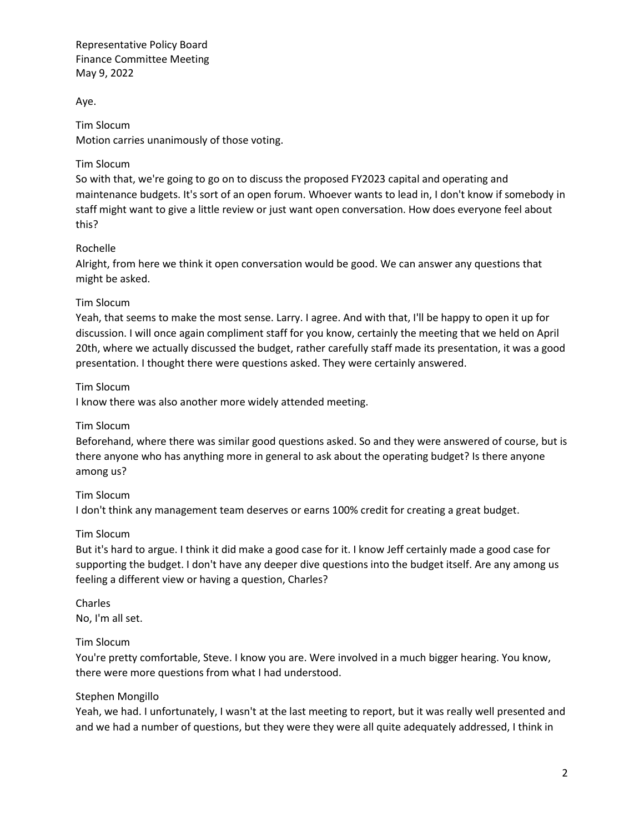Aye.

Tim Slocum Motion carries unanimously of those voting.

## Tim Slocum

So with that, we're going to go on to discuss the proposed FY2023 capital and operating and maintenance budgets. It's sort of an open forum. Whoever wants to lead in, I don't know if somebody in staff might want to give a little review or just want open conversation. How does everyone feel about this?

## Rochelle

Alright, from here we think it open conversation would be good. We can answer any questions that might be asked.

## Tim Slocum

Yeah, that seems to make the most sense. Larry. I agree. And with that, I'll be happy to open it up for discussion. I will once again compliment staff for you know, certainly the meeting that we held on April 20th, where we actually discussed the budget, rather carefully staff made its presentation, it was a good presentation. I thought there were questions asked. They were certainly answered.

## Tim Slocum

I know there was also another more widely attended meeting.

#### Tim Slocum

Beforehand, where there was similar good questions asked. So and they were answered of course, but is there anyone who has anything more in general to ask about the operating budget? Is there anyone among us?

#### Tim Slocum

I don't think any management team deserves or earns 100% credit for creating a great budget.

#### Tim Slocum

But it's hard to argue. I think it did make a good case for it. I know Jeff certainly made a good case for supporting the budget. I don't have any deeper dive questions into the budget itself. Are any among us feeling a different view or having a question, Charles?

Charles No, I'm all set.

#### Tim Slocum

You're pretty comfortable, Steve. I know you are. Were involved in a much bigger hearing. You know, there were more questions from what I had understood.

#### Stephen Mongillo

Yeah, we had. I unfortunately, I wasn't at the last meeting to report, but it was really well presented and and we had a number of questions, but they were they were all quite adequately addressed, I think in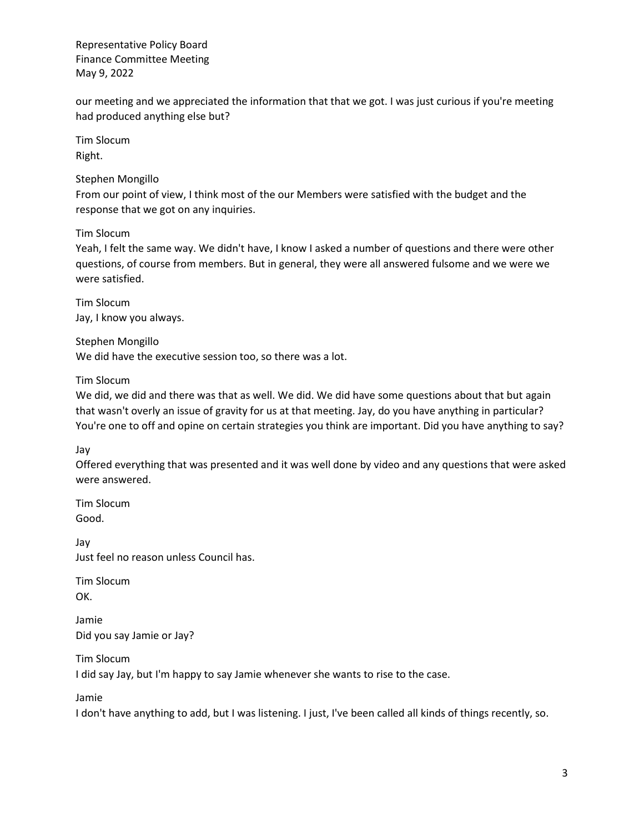our meeting and we appreciated the information that that we got. I was just curious if you're meeting had produced anything else but?

Tim Slocum Right.

Stephen Mongillo

From our point of view, I think most of the our Members were satisfied with the budget and the response that we got on any inquiries.

Tim Slocum

Yeah, I felt the same way. We didn't have, I know I asked a number of questions and there were other questions, of course from members. But in general, they were all answered fulsome and we were we were satisfied.

Tim Slocum Jay, I know you always.

Stephen Mongillo We did have the executive session too, so there was a lot.

Tim Slocum

We did, we did and there was that as well. We did. We did have some questions about that but again that wasn't overly an issue of gravity for us at that meeting. Jay, do you have anything in particular? You're one to off and opine on certain strategies you think are important. Did you have anything to say?

Jay

Offered everything that was presented and it was well done by video and any questions that were asked were answered.

Tim Slocum Good.

Jay Just feel no reason unless Council has.

Tim Slocum OK.

Jamie Did you say Jamie or Jay?

Tim Slocum I did say Jay, but I'm happy to say Jamie whenever she wants to rise to the case.

Jamie

I don't have anything to add, but I was listening. I just, I've been called all kinds of things recently, so.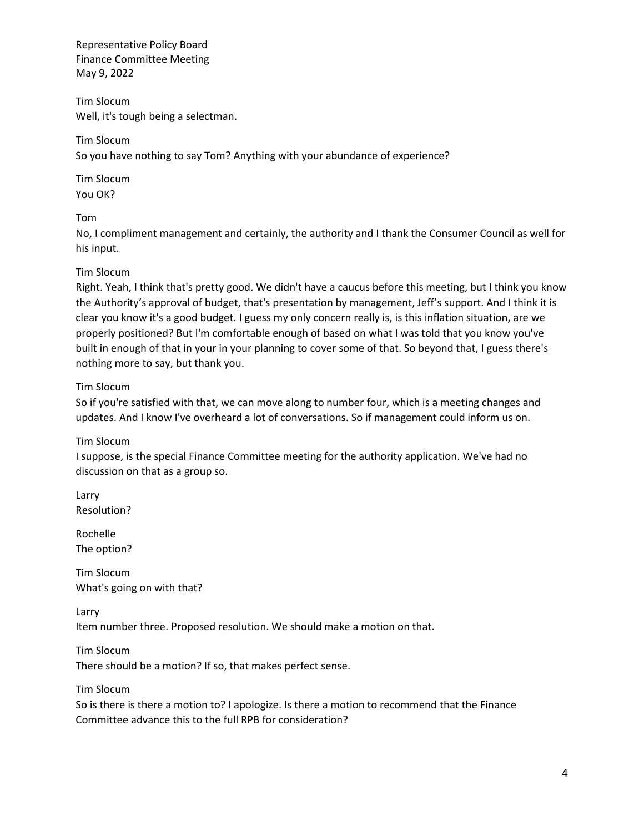Tim Slocum Well, it's tough being a selectman.

Tim Slocum So you have nothing to say Tom? Anything with your abundance of experience?

Tim Slocum You OK?

Tom

No, I compliment management and certainly, the authority and I thank the Consumer Council as well for his input.

# Tim Slocum

Right. Yeah, I think that's pretty good. We didn't have a caucus before this meeting, but I think you know the Authority's approval of budget, that's presentation by management, Jeff's support. And I think it is clear you know it's a good budget. I guess my only concern really is, is this inflation situation, are we properly positioned? But I'm comfortable enough of based on what I was told that you know you've built in enough of that in your in your planning to cover some of that. So beyond that, I guess there's nothing more to say, but thank you.

## Tim Slocum

So if you're satisfied with that, we can move along to number four, which is a meeting changes and updates. And I know I've overheard a lot of conversations. So if management could inform us on.

# Tim Slocum

I suppose, is the special Finance Committee meeting for the authority application. We've had no discussion on that as a group so.

Larry Resolution?

Rochelle The option?

Tim Slocum What's going on with that?

Larry Item number three. Proposed resolution. We should make a motion on that.

Tim Slocum There should be a motion? If so, that makes perfect sense.

Tim Slocum

So is there is there a motion to? I apologize. Is there a motion to recommend that the Finance Committee advance this to the full RPB for consideration?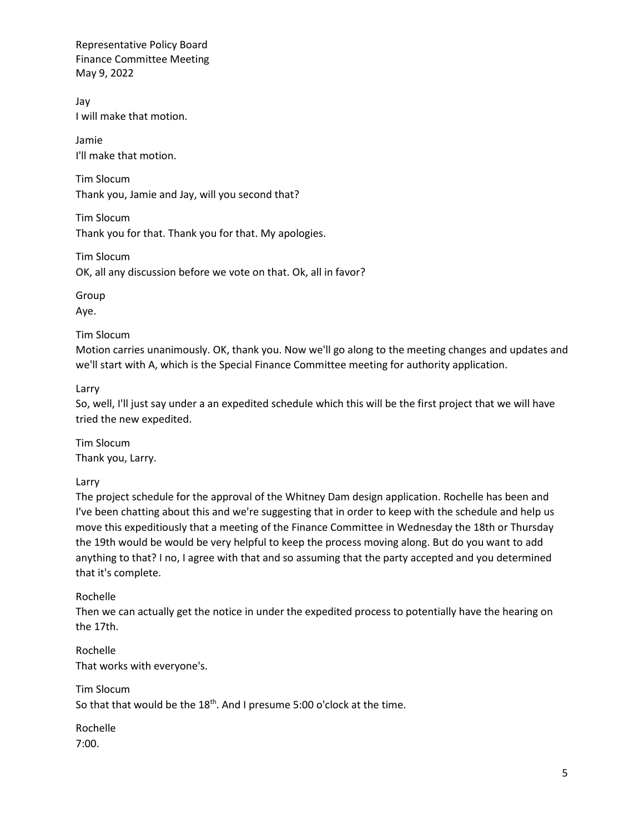Jay I will make that motion.

Jamie I'll make that motion.

Tim Slocum Thank you, Jamie and Jay, will you second that?

Tim Slocum Thank you for that. Thank you for that. My apologies.

Tim Slocum OK, all any discussion before we vote on that. Ok, all in favor?

Group Aye.

## Tim Slocum

Motion carries unanimously. OK, thank you. Now we'll go along to the meeting changes and updates and we'll start with A, which is the Special Finance Committee meeting for authority application.

Larry

So, well, I'll just say under a an expedited schedule which this will be the first project that we will have tried the new expedited.

Tim Slocum Thank you, Larry.

Larry

The project schedule for the approval of the Whitney Dam design application. Rochelle has been and I've been chatting about this and we're suggesting that in order to keep with the schedule and help us move this expeditiously that a meeting of the Finance Committee in Wednesday the 18th or Thursday the 19th would be would be very helpful to keep the process moving along. But do you want to add anything to that? I no, I agree with that and so assuming that the party accepted and you determined that it's complete.

# Rochelle

Then we can actually get the notice in under the expedited process to potentially have the hearing on the 17th.

Rochelle That works with everyone's.

Tim Slocum So that that would be the  $18<sup>th</sup>$ . And I presume 5:00 o'clock at the time.

Rochelle 7:00.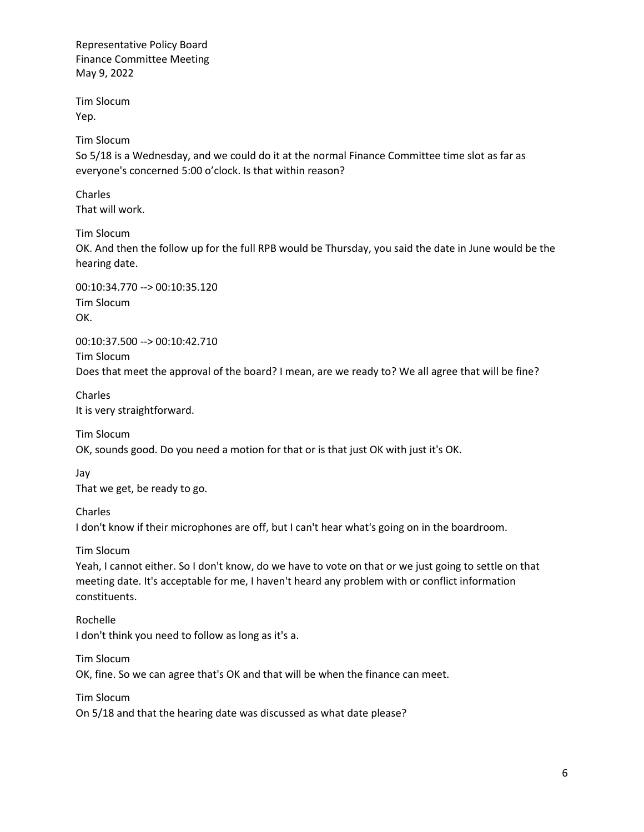Tim Slocum Yep.

Tim Slocum

So 5/18 is a Wednesday, and we could do it at the normal Finance Committee time slot as far as everyone's concerned 5:00 o'clock. Is that within reason?

Charles That will work.

Tim Slocum

OK. And then the follow up for the full RPB would be Thursday, you said the date in June would be the hearing date.

00:10:34.770 --> 00:10:35.120 Tim Slocum OK.

00:10:37.500 --> 00:10:42.710 Tim Slocum

Does that meet the approval of the board? I mean, are we ready to? We all agree that will be fine?

Charles It is very straightforward.

Tim Slocum OK, sounds good. Do you need a motion for that or is that just OK with just it's OK.

Jay

That we get, be ready to go.

Charles

I don't know if their microphones are off, but I can't hear what's going on in the boardroom.

Tim Slocum

Yeah, I cannot either. So I don't know, do we have to vote on that or we just going to settle on that meeting date. It's acceptable for me, I haven't heard any problem with or conflict information constituents.

Rochelle I don't think you need to follow as long as it's a.

Tim Slocum OK, fine. So we can agree that's OK and that will be when the finance can meet.

Tim Slocum On 5/18 and that the hearing date was discussed as what date please?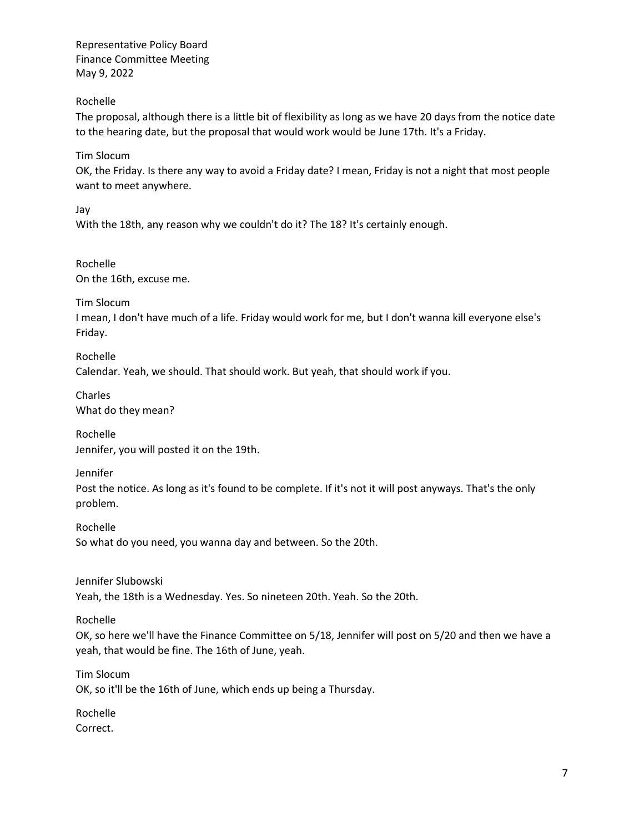Rochelle

The proposal, although there is a little bit of flexibility as long as we have 20 days from the notice date to the hearing date, but the proposal that would work would be June 17th. It's a Friday.

Tim Slocum

OK, the Friday. Is there any way to avoid a Friday date? I mean, Friday is not a night that most people want to meet anywhere.

Jay

With the 18th, any reason why we couldn't do it? The 18? It's certainly enough.

Rochelle On the 16th, excuse me.

Tim Slocum

I mean, I don't have much of a life. Friday would work for me, but I don't wanna kill everyone else's Friday.

Rochelle Calendar. Yeah, we should. That should work. But yeah, that should work if you.

Charles What do they mean?

Rochelle Jennifer, you will posted it on the 19th.

Jennifer

Post the notice. As long as it's found to be complete. If it's not it will post anyways. That's the only problem.

Rochelle So what do you need, you wanna day and between. So the 20th.

Jennifer Slubowski Yeah, the 18th is a Wednesday. Yes. So nineteen 20th. Yeah. So the 20th.

Rochelle

OK, so here we'll have the Finance Committee on 5/18, Jennifer will post on 5/20 and then we have a yeah, that would be fine. The 16th of June, yeah.

Tim Slocum

OK, so it'll be the 16th of June, which ends up being a Thursday.

Rochelle Correct.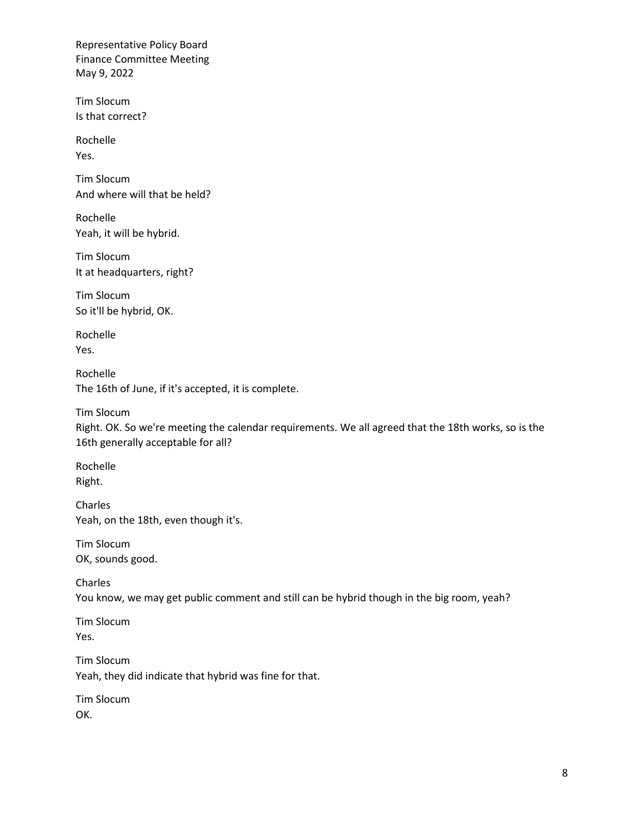Tim Slocum Is that correct?

Rochelle Yes.

Tim Slocum And where will that be held?

Rochelle Yeah, it will be hybrid.

Tim Slocum It at headquarters, right?

Tim Slocum So it'll be hybrid, OK.

Rochelle Yes.

Rochelle The 16th of June, if it's accepted, it is complete.

Tim Slocum Right. OK. So we're meeting the calendar requirements. We all agreed that the 18th works, so is the 16th generally acceptable for all?

Rochelle Right.

Charles Yeah, on the 18th, even though it's.

Tim Slocum OK, sounds good.

Charles You know, we may get public comment and still can be hybrid though in the big room, yeah?

Tim Slocum Yes.

Tim Slocum Yeah, they did indicate that hybrid was fine for that.

Tim Slocum OK.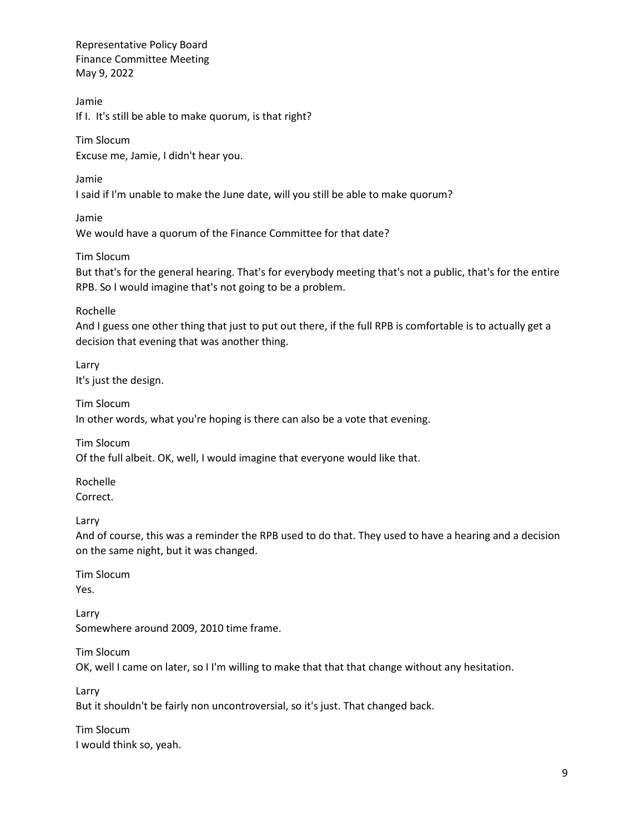Jamie

If I. It's still be able to make quorum, is that right?

Tim Slocum Excuse me, Jamie, I didn't hear you.

Jamie

I said if I'm unable to make the June date, will you still be able to make quorum?

Jamie

We would have a quorum of the Finance Committee for that date?

Tim Slocum

But that's for the general hearing. That's for everybody meeting that's not a public, that's for the entire RPB. So I would imagine that's not going to be a problem.

Rochelle

And I guess one other thing that just to put out there, if the full RPB is comfortable is to actually get a decision that evening that was another thing.

Larry It's just the design.

Tim Slocum In other words, what you're hoping is there can also be a vote that evening.

Tim Slocum Of the full albeit. OK, well, I would imagine that everyone would like that.

Rochelle Correct.

Larry

And of course, this was a reminder the RPB used to do that. They used to have a hearing and a decision on the same night, but it was changed.

Tim Slocum Yes.

Larry Somewhere around 2009, 2010 time frame.

Tim Slocum OK, well I came on later, so I I'm willing to make that that that change without any hesitation.

Larry But it shouldn't be fairly non uncontroversial, so it's just. That changed back.

Tim Slocum I would think so, yeah.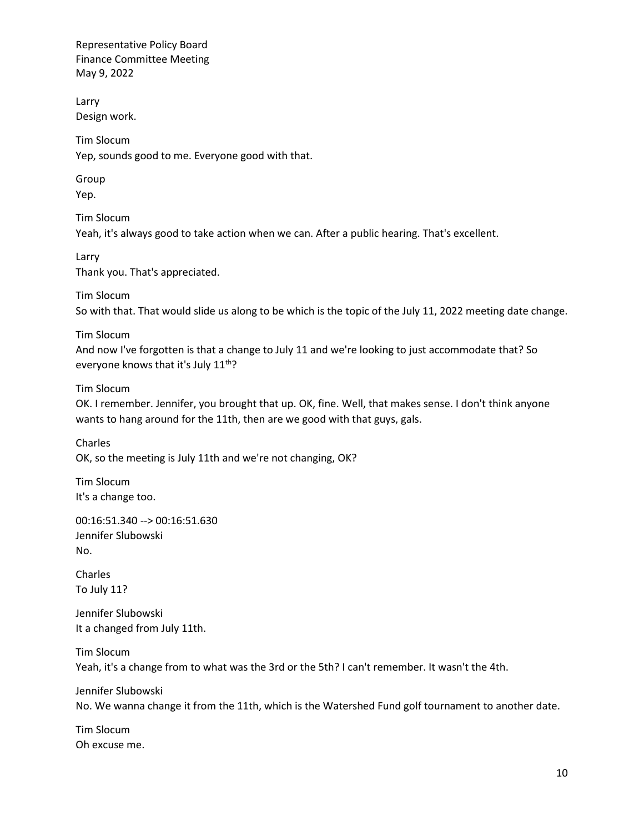Larry Design work.

Tim Slocum Yep, sounds good to me. Everyone good with that.

Group Yep.

Tim Slocum Yeah, it's always good to take action when we can. After a public hearing. That's excellent.

Larry Thank you. That's appreciated.

Tim Slocum So with that. That would slide us along to be which is the topic of the July 11, 2022 meeting date change.

Tim Slocum

And now I've forgotten is that a change to July 11 and we're looking to just accommodate that? So everyone knows that it's July 11<sup>th</sup>?

## Tim Slocum

OK. I remember. Jennifer, you brought that up. OK, fine. Well, that makes sense. I don't think anyone wants to hang around for the 11th, then are we good with that guys, gals.

Charles OK, so the meeting is July 11th and we're not changing, OK?

Tim Slocum It's a change too.

00:16:51.340 --> 00:16:51.630 Jennifer Slubowski No.

Charles To July 11?

Jennifer Slubowski It a changed from July 11th.

Tim Slocum Yeah, it's a change from to what was the 3rd or the 5th? I can't remember. It wasn't the 4th.

Jennifer Slubowski No. We wanna change it from the 11th, which is the Watershed Fund golf tournament to another date.

Tim Slocum Oh excuse me.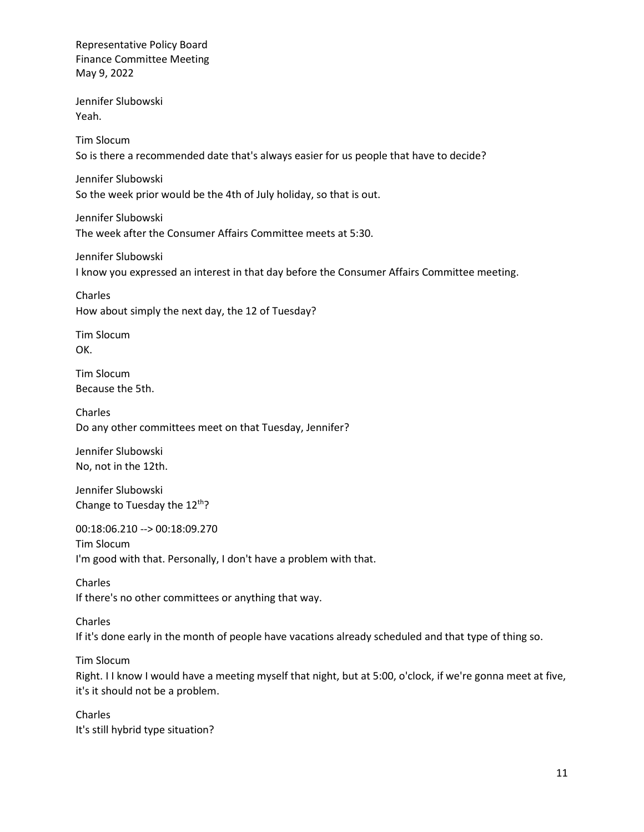Jennifer Slubowski Yeah.

Tim Slocum So is there a recommended date that's always easier for us people that have to decide?

Jennifer Slubowski So the week prior would be the 4th of July holiday, so that is out.

Jennifer Slubowski The week after the Consumer Affairs Committee meets at 5:30.

Jennifer Slubowski I know you expressed an interest in that day before the Consumer Affairs Committee meeting.

Charles How about simply the next day, the 12 of Tuesday?

Tim Slocum OK.

Tim Slocum Because the 5th.

Charles Do any other committees meet on that Tuesday, Jennifer?

Jennifer Slubowski No, not in the 12th.

Jennifer Slubowski Change to Tuesday the  $12<sup>th</sup>$ ?

00:18:06.210 --> 00:18:09.270 Tim Slocum I'm good with that. Personally, I don't have a problem with that.

Charles If there's no other committees or anything that way.

Charles If it's done early in the month of people have vacations already scheduled and that type of thing so.

Tim Slocum

Right. I I know I would have a meeting myself that night, but at 5:00, o'clock, if we're gonna meet at five, it's it should not be a problem.

Charles It's still hybrid type situation?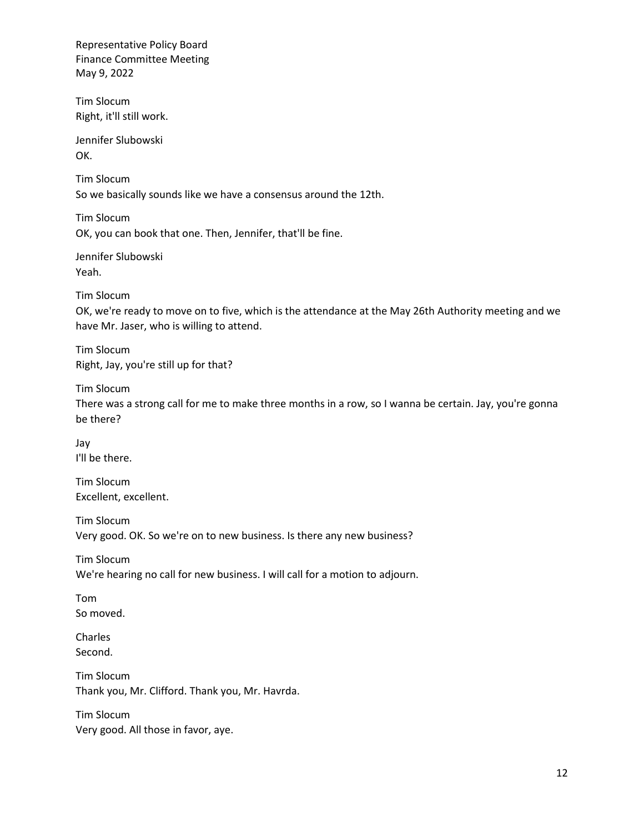Tim Slocum Right, it'll still work.

Jennifer Slubowski OK.

Tim Slocum So we basically sounds like we have a consensus around the 12th.

Tim Slocum OK, you can book that one. Then, Jennifer, that'll be fine.

Jennifer Slubowski Yeah.

Tim Slocum

OK, we're ready to move on to five, which is the attendance at the May 26th Authority meeting and we have Mr. Jaser, who is willing to attend.

Tim Slocum Right, Jay, you're still up for that?

Tim Slocum

There was a strong call for me to make three months in a row, so I wanna be certain. Jay, you're gonna be there?

Jay I'll be there.

Tim Slocum Excellent, excellent.

Tim Slocum Very good. OK. So we're on to new business. Is there any new business?

Tim Slocum We're hearing no call for new business. I will call for a motion to adjourn.

Tom So moved.

Charles Second.

Tim Slocum Thank you, Mr. Clifford. Thank you, Mr. Havrda.

Tim Slocum Very good. All those in favor, aye.